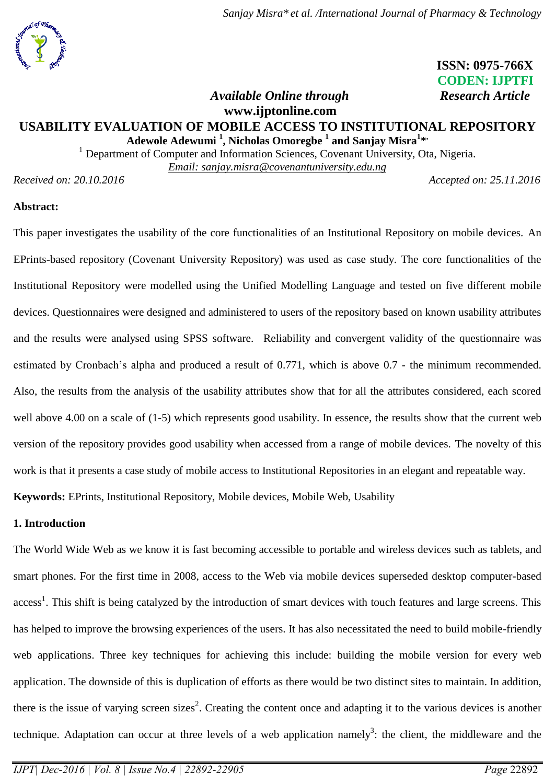# **ISSN: 0975-766X CODEN: IJPTFI**

# *Available Online through* Research Article **www.ijptonline.com**

# **USABILITY EVALUATION OF MOBILE ACCESS TO INSTITUTIONAL REPOSITORY Adewole Adewumi <sup>1</sup> , Nicholas Omoregbe <sup>1</sup> and Sanjay Misra<sup>1</sup> \* ,**

<sup>1</sup> Department of Computer and Information Sciences, Covenant University, Ota, Nigeria. *Email: sanjay.misra@covenantuniversity.edu.ng*

*Received on: 20.10.2016 Accepted on: 25.11.2016* 

# **Abstract:**

This paper investigates the usability of the core functionalities of an Institutional Repository on mobile devices. An EPrints-based repository (Covenant University Repository) was used as case study. The core functionalities of the Institutional Repository were modelled using the Unified Modelling Language and tested on five different mobile devices. Questionnaires were designed and administered to users of the repository based on known usability attributes and the results were analysed using SPSS software.Reliability and convergent validity of the questionnaire was estimated by Cronbach's alpha and produced a result of 0.771, which is above 0.7 - the minimum recommended. Also, the results from the analysis of the usability attributes show that for all the attributes considered, each scored well above 4.00 on a scale of (1-5) which represents good usability. In essence, the results show that the current web version of the repository provides good usability when accessed from a range of mobile devices. The novelty of this work is that it presents a case study of mobile access to Institutional Repositories in an elegant and repeatable way. **Keywords:** EPrints, Institutional Repository, Mobile devices, Mobile Web, Usability

## **1. Introduction**

The World Wide Web as we know it is fast becoming accessible to portable and wireless devices such as tablets, and smart phones. For the first time in 2008, access to the Web via mobile devices superseded desktop computer-based access<sup>1</sup>. This shift is being catalyzed by the introduction of smart devices with touch features and large screens. This has helped to improve the browsing experiences of the users. It has also necessitated the need to build mobile-friendly web applications. Three key techniques for achieving this include: building the mobile version for every web application. The downside of this is duplication of efforts as there would be two distinct sites to maintain. In addition, there is the issue of varying screen sizes<sup>2</sup>. Creating the content once and adapting it to the various devices is another technique. Adaptation can occur at three levels of a web application namely<sup>3</sup>: the client, the middleware and the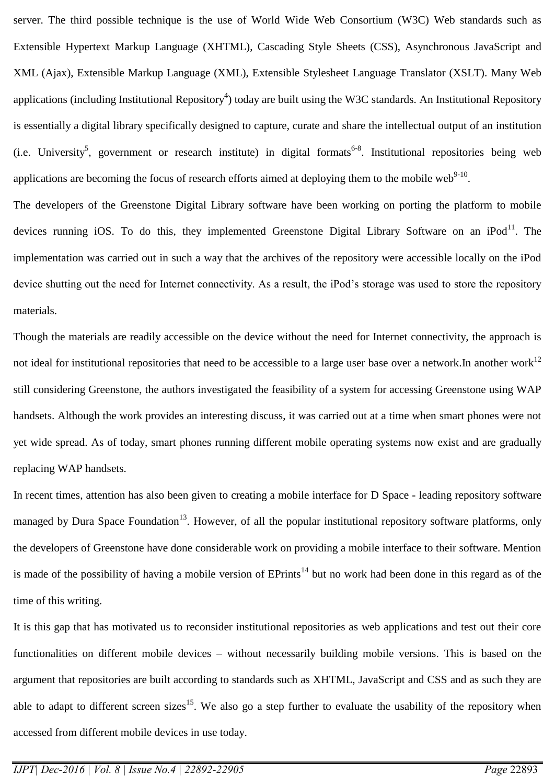server. The third possible technique is the use of World Wide Web Consortium (W3C) Web standards such as Extensible Hypertext Markup Language (XHTML), Cascading Style Sheets (CSS), Asynchronous JavaScript and XML (Ajax), Extensible Markup Language (XML), Extensible Stylesheet Language Translator (XSLT). Many Web applications (including Institutional Repository<sup>4</sup>) today are built using the W3C standards. An Institutional Repository is essentially a digital library specifically designed to capture, curate and share the intellectual output of an institution (i.e. University<sup>5</sup>, government or research institute) in digital formats<sup>6-8</sup>. Institutional repositories being web applications are becoming the focus of research efforts aimed at deploying them to the mobile web<sup>9-10</sup>.

The developers of the Greenstone Digital Library software have been working on porting the platform to mobile devices running iOS. To do this, they implemented Greenstone Digital Library Software on an iPod $^{11}$ . The implementation was carried out in such a way that the archives of the repository were accessible locally on the iPod device shutting out the need for Internet connectivity. As a result, the iPod's storage was used to store the repository materials.

Though the materials are readily accessible on the device without the need for Internet connectivity, the approach is not ideal for institutional repositories that need to be accessible to a large user base over a network. In another work<sup>12</sup> still considering Greenstone, the authors investigated the feasibility of a system for accessing Greenstone using WAP handsets. Although the work provides an interesting discuss, it was carried out at a time when smart phones were not yet wide spread. As of today, smart phones running different mobile operating systems now exist and are gradually replacing WAP handsets.

In recent times, attention has also been given to creating a mobile interface for D Space - leading repository software managed by Dura Space Foundation<sup>13</sup>. However, of all the popular institutional repository software platforms, only the developers of Greenstone have done considerable work on providing a mobile interface to their software. Mention is made of the possibility of having a mobile version of  $EPrints^{14}$  but no work had been done in this regard as of the time of this writing.

It is this gap that has motivated us to reconsider institutional repositories as web applications and test out their core functionalities on different mobile devices – without necessarily building mobile versions. This is based on the argument that repositories are built according to standards such as XHTML, JavaScript and CSS and as such they are able to adapt to different screen sizes<sup>15</sup>. We also go a step further to evaluate the usability of the repository when accessed from different mobile devices in use today.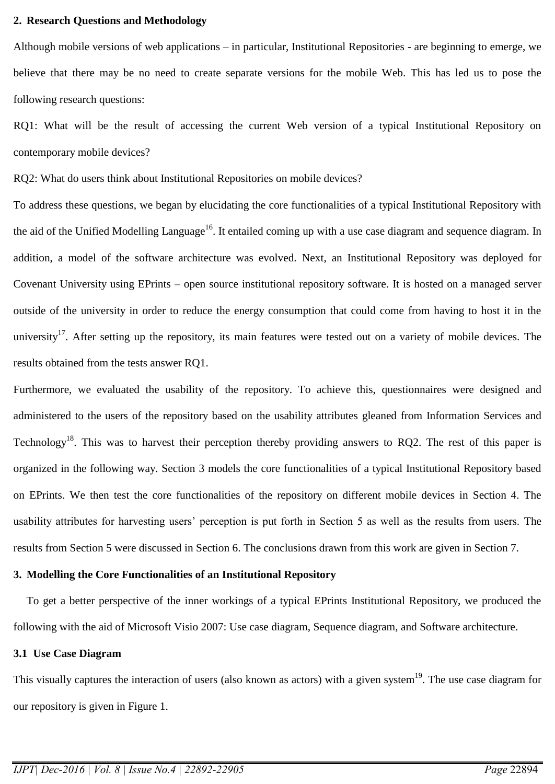#### **2. Research Questions and Methodology**

Although mobile versions of web applications – in particular, Institutional Repositories - are beginning to emerge, we believe that there may be no need to create separate versions for the mobile Web. This has led us to pose the following research questions:

RQ1: What will be the result of accessing the current Web version of a typical Institutional Repository on contemporary mobile devices?

RQ2: What do users think about Institutional Repositories on mobile devices?

To address these questions, we began by elucidating the core functionalities of a typical Institutional Repository with the aid of the Unified Modelling Language<sup>16</sup>. It entailed coming up with a use case diagram and sequence diagram. In addition, a model of the software architecture was evolved. Next, an Institutional Repository was deployed for Covenant University using EPrints – open source institutional repository software. It is hosted on a managed server outside of the university in order to reduce the energy consumption that could come from having to host it in the university<sup>17</sup>. After setting up the repository, its main features were tested out on a variety of mobile devices. The results obtained from the tests answer RQ1.

Furthermore, we evaluated the usability of the repository. To achieve this, questionnaires were designed and administered to the users of the repository based on the usability attributes gleaned from Information Services and Technology<sup>18</sup>. This was to harvest their perception thereby providing answers to RQ2. The rest of this paper is organized in the following way. Section 3 models the core functionalities of a typical Institutional Repository based on EPrints. We then test the core functionalities of the repository on different mobile devices in Section 4. The usability attributes for harvesting users' perception is put forth in Section 5 as well as the results from users. The results from Section 5 were discussed in Section 6. The conclusions drawn from this work are given in Section 7.

#### **3. Modelling the Core Functionalities of an Institutional Repository**

To get a better perspective of the inner workings of a typical EPrints Institutional Repository, we produced the following with the aid of Microsoft Visio 2007: Use case diagram, Sequence diagram, and Software architecture.

#### **3.1 Use Case Diagram**

This visually captures the interaction of users (also known as actors) with a given system<sup>19</sup>. The use case diagram for our repository is given in Figure 1.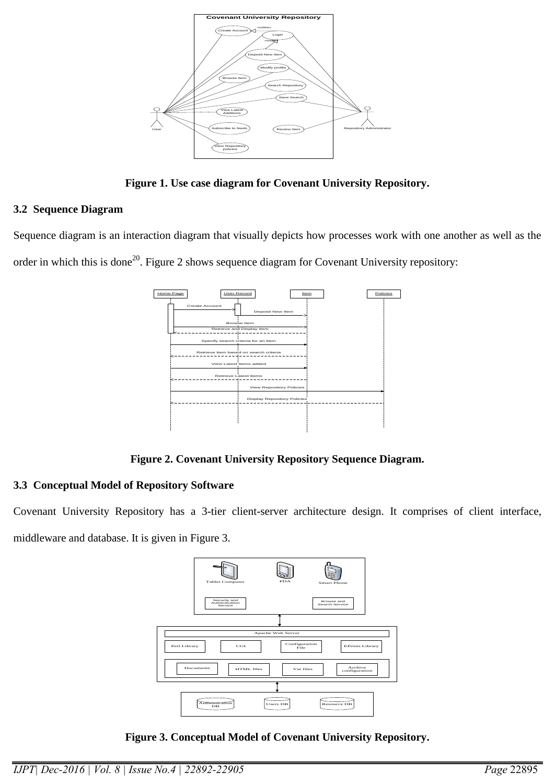

**Figure 1. Use case diagram for Covenant University Repository.**

# **3.2 Sequence Diagram**

Sequence diagram is an interaction diagram that visually depicts how processes work with one another as well as the order in which this is done<sup>20</sup>. Figure 2 shows sequence diagram for Covenant University repository:



**Figure 2. Covenant University Repository Sequence Diagram.**

# **3.3 Conceptual Model of Repository Software**

Covenant University Repository has a 3-tier client-server architecture design. It comprises of client interface, middleware and database. It is given in Figure 3.



**Figure 3. Conceptual Model of Covenant University Repository.**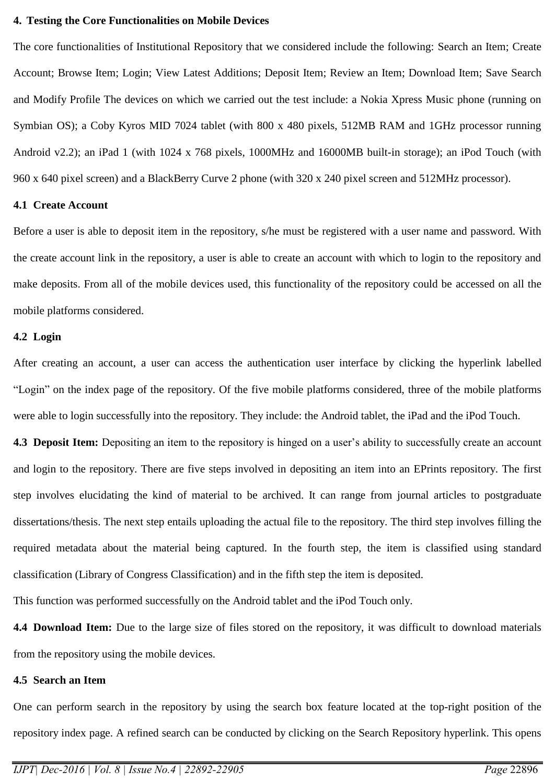#### **4. Testing the Core Functionalities on Mobile Devices**

The core functionalities of Institutional Repository that we considered include the following: Search an Item; Create Account; Browse Item; Login; View Latest Additions; Deposit Item; Review an Item; Download Item; Save Search and Modify Profile The devices on which we carried out the test include: a Nokia Xpress Music phone (running on Symbian OS); a Coby Kyros MID 7024 tablet (with 800 x 480 pixels, 512MB RAM and 1GHz processor running Android v2.2); an iPad 1 (with 1024 x 768 pixels, 1000MHz and 16000MB built-in storage); an iPod Touch (with 960 x 640 pixel screen) and a BlackBerry Curve 2 phone (with 320 x 240 pixel screen and 512MHz processor).

#### **4.1 Create Account**

Before a user is able to deposit item in the repository, s/he must be registered with a user name and password. With the create account link in the repository, a user is able to create an account with which to login to the repository and make deposits. From all of the mobile devices used, this functionality of the repository could be accessed on all the mobile platforms considered.

#### **4.2 Login**

After creating an account, a user can access the authentication user interface by clicking the hyperlink labelled "Login" on the index page of the repository. Of the five mobile platforms considered, three of the mobile platforms were able to login successfully into the repository. They include: the Android tablet, the iPad and the iPod Touch.

**4.3 Deposit Item:** Depositing an item to the repository is hinged on a user's ability to successfully create an account and login to the repository. There are five steps involved in depositing an item into an EPrints repository. The first step involves elucidating the kind of material to be archived. It can range from journal articles to postgraduate dissertations/thesis. The next step entails uploading the actual file to the repository. The third step involves filling the required metadata about the material being captured. In the fourth step, the item is classified using standard classification (Library of Congress Classification) and in the fifth step the item is deposited.

This function was performed successfully on the Android tablet and the iPod Touch only.

**4.4 Download Item:** Due to the large size of files stored on the repository, it was difficult to download materials from the repository using the mobile devices.

### **4.5 Search an Item**

One can perform search in the repository by using the search box feature located at the top-right position of the repository index page. A refined search can be conducted by clicking on the Search Repository hyperlink. This opens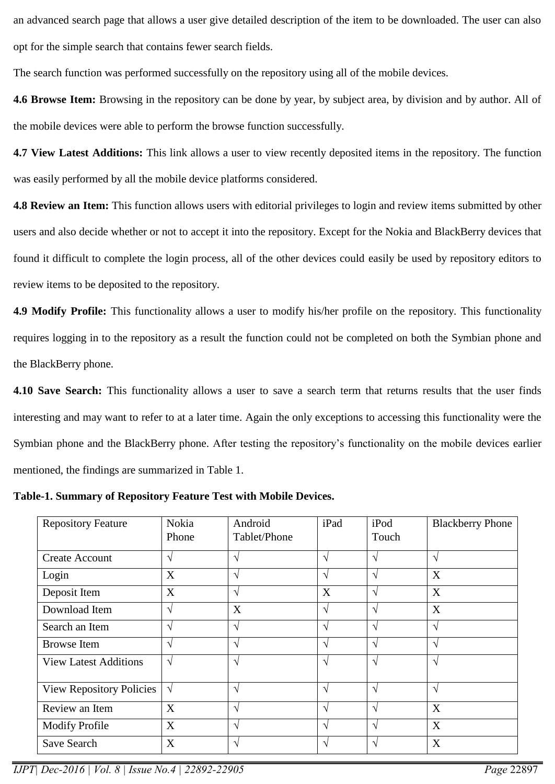an advanced search page that allows a user give detailed description of the item to be downloaded. The user can also opt for the simple search that contains fewer search fields.

The search function was performed successfully on the repository using all of the mobile devices.

**4.6 Browse Item:** Browsing in the repository can be done by year, by subject area, by division and by author. All of the mobile devices were able to perform the browse function successfully.

**4.7 View Latest Additions:** This link allows a user to view recently deposited items in the repository. The function was easily performed by all the mobile device platforms considered.

**4.8 Review an Item:** This function allows users with editorial privileges to login and review items submitted by other users and also decide whether or not to accept it into the repository. Except for the Nokia and BlackBerry devices that found it difficult to complete the login process, all of the other devices could easily be used by repository editors to review items to be deposited to the repository.

**4.9 Modify Profile:** This functionality allows a user to modify his/her profile on the repository. This functionality requires logging in to the repository as a result the function could not be completed on both the Symbian phone and the BlackBerry phone.

**4.10 Save Search:** This functionality allows a user to save a search term that returns results that the user finds interesting and may want to refer to at a later time. Again the only exceptions to accessing this functionality were the Symbian phone and the BlackBerry phone. After testing the repository's functionality on the mobile devices earlier mentioned, the findings are summarized in Table 1.

| <b>Repository Feature</b>       | Nokia<br>Phone | Android<br>Tablet/Phone | iPad          | iPod<br>Touch | <b>Blackberry Phone</b> |
|---------------------------------|----------------|-------------------------|---------------|---------------|-------------------------|
| <b>Create Account</b>           | $\mathcal{N}$  | N                       | $\mathcal{N}$ | $\mathcal{N}$ | $\sqrt{ }$              |
| Login                           | X              | $\mathcal{L}$           | V             | $\mathcal{L}$ | X                       |
| Deposit Item                    | X              | N                       | X             | N             | X                       |
| Download Item                   | $\sqrt{ }$     | X                       | $\sqrt{ }$    | $\mathcal{L}$ | X                       |
| Search an Item                  | $\gamma$       | $\mathcal{L}$           | $\mathcal{N}$ | $\mathcal{L}$ | $\sqrt{ }$              |
| <b>Browse</b> Item              | $\gamma$       | $\mathcal{N}$           | V             | $\mathcal{L}$ | $\sqrt{ }$              |
| <b>View Latest Additions</b>    | $\sqrt{ }$     | $\mathcal{N}$           | V             | $\mathcal{N}$ | $\sqrt{ }$              |
| <b>View Repository Policies</b> | $\sqrt{ }$     | $\gamma$                | $\sqrt{ }$    | $\mathcal{N}$ | $\sqrt{ }$              |
| Review an Item                  | X              | V                       | $\sqrt{ }$    | $\mathcal{N}$ | X                       |
| <b>Modify Profile</b>           | X              | $\mathcal{L}$           | N             | $\mathcal{L}$ | X                       |
| Save Search                     | X              | N                       | N             | $\mathcal{L}$ | X                       |

*IJPT| Dec-2016 | Vol. 8 | Issue No.4 | 22892-22905 Page* 22897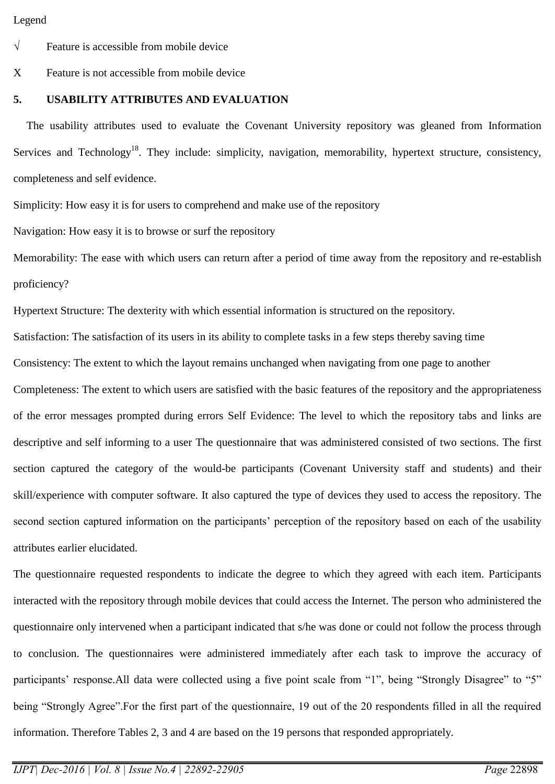#### Legend

 $\sqrt{\ }$  Feature is accessible from mobile device

X Feature is not accessible from mobile device

# **5. USABILITY ATTRIBUTES AND EVALUATION**

The usability attributes used to evaluate the Covenant University repository was gleaned from Information Services and Technology<sup>18</sup>. They include: simplicity, navigation, memorability, hypertext structure, consistency, completeness and self evidence.

Simplicity: How easy it is for users to comprehend and make use of the repository

Navigation: How easy it is to browse or surf the repository

Memorability: The ease with which users can return after a period of time away from the repository and re-establish proficiency?

Hypertext Structure: The dexterity with which essential information is structured on the repository.

Satisfaction: The satisfaction of its users in its ability to complete tasks in a few steps thereby saving time

Consistency: The extent to which the layout remains unchanged when navigating from one page to another

Completeness: The extent to which users are satisfied with the basic features of the repository and the appropriateness of the error messages prompted during errors Self Evidence: The level to which the repository tabs and links are descriptive and self informing to a user The questionnaire that was administered consisted of two sections. The first section captured the category of the would-be participants (Covenant University staff and students) and their skill/experience with computer software. It also captured the type of devices they used to access the repository. The second section captured information on the participants' perception of the repository based on each of the usability attributes earlier elucidated.

The questionnaire requested respondents to indicate the degree to which they agreed with each item. Participants interacted with the repository through mobile devices that could access the Internet. The person who administered the questionnaire only intervened when a participant indicated that s/he was done or could not follow the process through to conclusion. The questionnaires were administered immediately after each task to improve the accuracy of participants' response.All data were collected using a five point scale from "1", being "Strongly Disagree" to "5" being "Strongly Agree".For the first part of the questionnaire, 19 out of the 20 respondents filled in all the required information. Therefore Tables 2, 3 and 4 are based on the 19 persons that responded appropriately.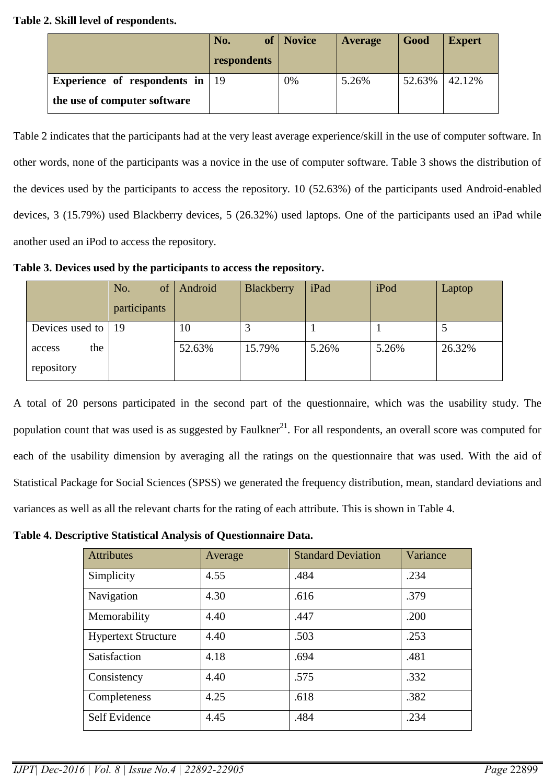# **Table 2. Skill level of respondents.**

|                                           | No.         | of   Novice | Average | Good   | <b>Expert</b> |
|-------------------------------------------|-------------|-------------|---------|--------|---------------|
|                                           | respondents |             |         |        |               |
| Experience of respondents in $ 19\rangle$ |             | 0%          | 5.26%   | 52.63% | 42.12%        |
| the use of computer software              |             |             |         |        |               |

Table 2 indicates that the participants had at the very least average experience/skill in the use of computer software. In other words, none of the participants was a novice in the use of computer software. Table 3 shows the distribution of the devices used by the participants to access the repository. 10 (52.63%) of the participants used Android-enabled devices, 3 (15.79%) used Blackberry devices, 5 (26.32%) used laptops. One of the participants used an iPad while another used an iPod to access the repository.

**Table 3. Devices used by the participants to access the repository.**

|                             | of<br>No.    | Android | Blackberry | iPad  | iPod  | Laptop |
|-----------------------------|--------------|---------|------------|-------|-------|--------|
|                             | participants |         |            |       |       |        |
| Devices used to $ 19$       |              | 10      |            |       |       |        |
| the<br>access<br>repository |              | 52.63%  | 15.79%     | 5.26% | 5.26% | 26.32% |

A total of 20 persons participated in the second part of the questionnaire, which was the usability study. The population count that was used is as suggested by Faulkner $^{21}$ . For all respondents, an overall score was computed for each of the usability dimension by averaging all the ratings on the questionnaire that was used. With the aid of Statistical Package for Social Sciences (SPSS) we generated the frequency distribution, mean, standard deviations and variances as well as all the relevant charts for the rating of each attribute. This is shown in Table 4.

**Table 4. Descriptive Statistical Analysis of Questionnaire Data.**

| <b>Attributes</b>          | Average | <b>Standard Deviation</b> | Variance |
|----------------------------|---------|---------------------------|----------|
| Simplicity                 | 4.55    | .484                      | .234     |
| Navigation                 | 4.30    | .616                      | .379     |
| Memorability               | 4.40    | .447                      | .200     |
| <b>Hypertext Structure</b> | 4.40    | .503                      | .253     |
| Satisfaction               | 4.18    | .694                      | .481     |
| Consistency                | 4.40    | .575                      | .332     |
| Completeness               | 4.25    | .618                      | .382     |
| Self Evidence              | 4.45    | .484                      | .234     |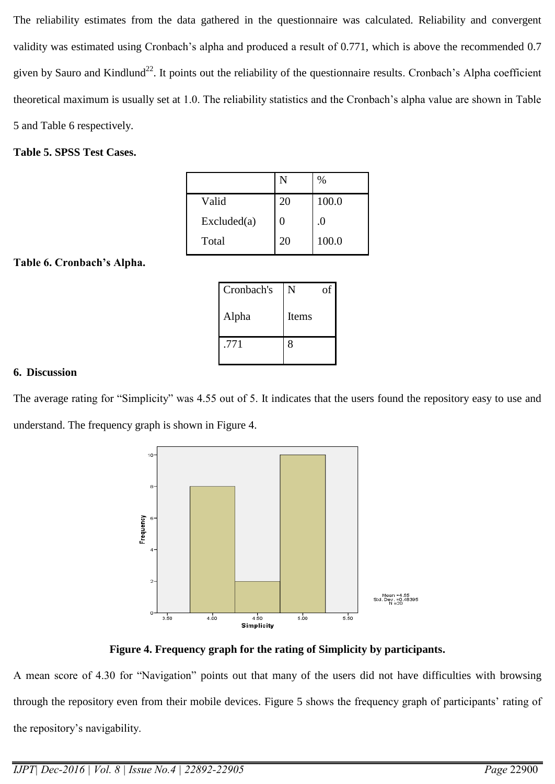The reliability estimates from the data gathered in the questionnaire was calculated. Reliability and convergent validity was estimated using Cronbach's alpha and produced a result of 0.771, which is above the recommended 0.7 given by Sauro and Kindlund<sup>22</sup>. It points out the reliability of the questionnaire results. Cronbach's Alpha coefficient theoretical maximum is usually set at 1.0. The reliability statistics and the Cronbach's alpha value are shown in Table 5 and Table 6 respectively.

# **Table 5. SPSS Test Cases.**

|             | N  | %     |
|-------------|----|-------|
| Valid       | 20 | 100.0 |
| Excluded(a) | 0  | .0    |
| Total       | 20 | 100.0 |

# **Table 6. Cronbach's Alpha.**

| Cronbach's | N     | οf |
|------------|-------|----|
| Alpha      | Items |    |
| .771       | 8     |    |

## **6. Discussion**

The average rating for "Simplicity" was 4.55 out of 5. It indicates that the users found the repository easy to use and understand. The frequency graph is shown in Figure 4.



**Figure 4. Frequency graph for the rating of Simplicity by participants.**

A mean score of 4.30 for "Navigation" points out that many of the users did not have difficulties with browsing through the repository even from their mobile devices. Figure 5 shows the frequency graph of participants' rating of the repository's navigability.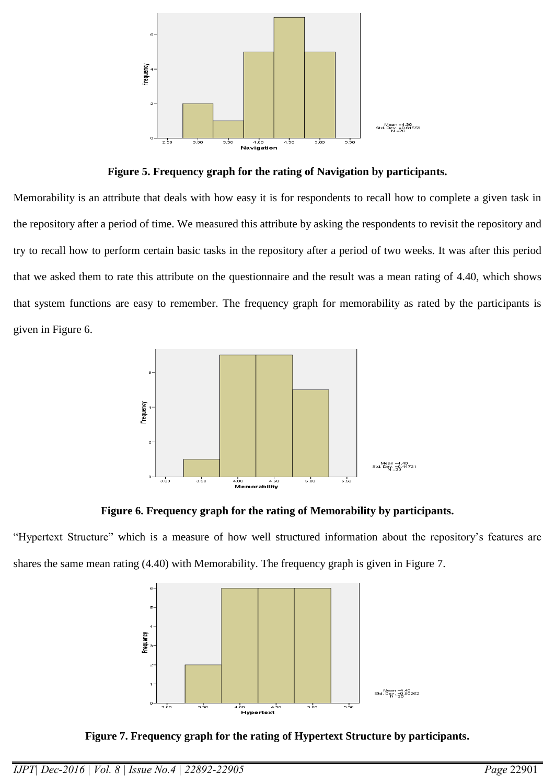

**Figure 5. Frequency graph for the rating of Navigation by participants.**

Memorability is an attribute that deals with how easy it is for respondents to recall how to complete a given task in the repository after a period of time. We measured this attribute by asking the respondents to revisit the repository and try to recall how to perform certain basic tasks in the repository after a period of two weeks. It was after this period that we asked them to rate this attribute on the questionnaire and the result was a mean rating of 4.40, which shows that system functions are easy to remember. The frequency graph for memorability as rated by the participants is given in Figure 6.



**Figure 6. Frequency graph for the rating of Memorability by participants.**

"Hypertext Structure" which is a measure of how well structured information about the repository's features are shares the same mean rating (4.40) with Memorability. The frequency graph is given in Figure 7.



**Figure 7. Frequency graph for the rating of Hypertext Structure by participants.**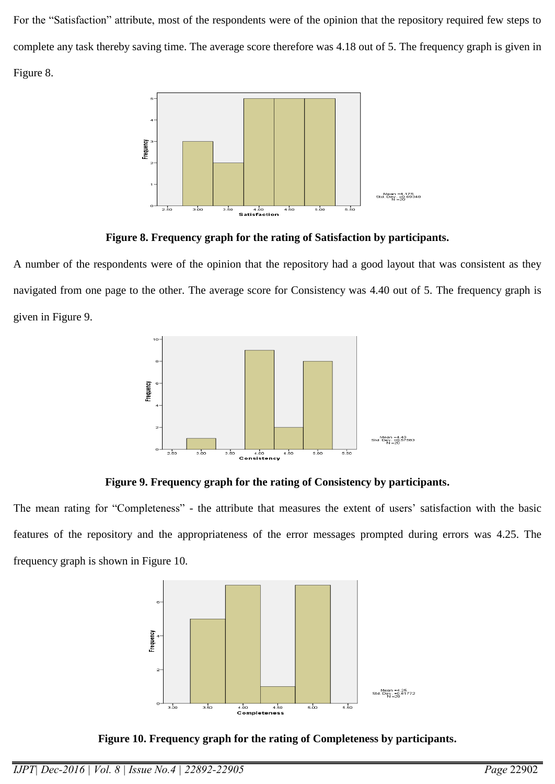For the "Satisfaction" attribute, most of the respondents were of the opinion that the repository required few steps to complete any task thereby saving time. The average score therefore was 4.18 out of 5. The frequency graph is given in Figure 8.



**Figure 8. Frequency graph for the rating of Satisfaction by participants.**

A number of the respondents were of the opinion that the repository had a good layout that was consistent as they navigated from one page to the other. The average score for Consistency was 4.40 out of 5. The frequency graph is given in Figure 9.



**Figure 9. Frequency graph for the rating of Consistency by participants.**

The mean rating for "Completeness" - the attribute that measures the extent of users' satisfaction with the basic features of the repository and the appropriateness of the error messages prompted during errors was 4.25. The frequency graph is shown in Figure 10.



**Figure 10. Frequency graph for the rating of Completeness by participants.**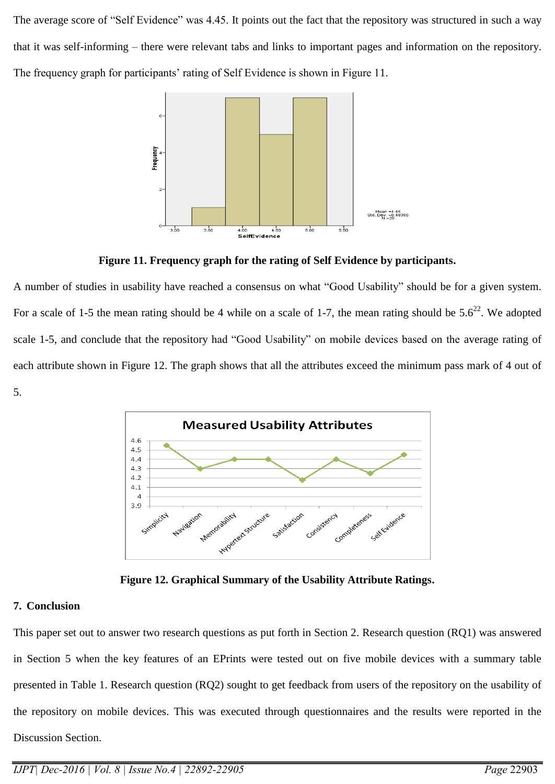The average score of "Self Evidence" was 4.45. It points out the fact that the repository was structured in such a way that it was self-informing – there were relevant tabs and links to important pages and information on the repository. The frequency graph for participants' rating of Self Evidence is shown in Figure 11.



**Figure 11. Frequency graph for the rating of Self Evidence by participants.**

A number of studies in usability have reached a consensus on what "Good Usability" should be for a given system. For a scale of 1-5 the mean rating should be 4 while on a scale of 1-7, the mean rating should be  $5.6^{22}$ . We adopted scale 1-5, and conclude that the repository had "Good Usability" on mobile devices based on the average rating of each attribute shown in Figure 12. The graph shows that all the attributes exceed the minimum pass mark of 4 out of 5.



**Figure 12. Graphical Summary of the Usability Attribute Ratings.**

## **7. Conclusion**

This paper set out to answer two research questions as put forth in Section 2. Research question (RQ1) was answered in Section 5 when the key features of an EPrints were tested out on five mobile devices with a summary table presented in Table 1. Research question (RQ2) sought to get feedback from users of the repository on the usability of the repository on mobile devices. This was executed through questionnaires and the results were reported in the Discussion Section.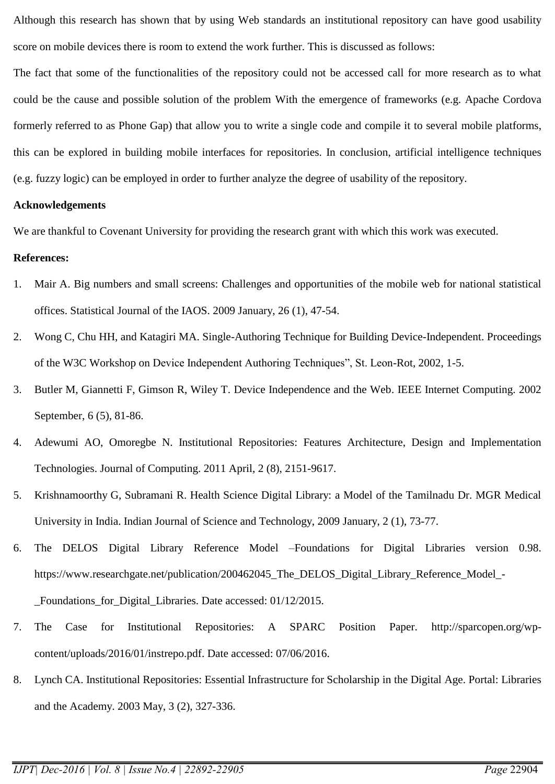Although this research has shown that by using Web standards an institutional repository can have good usability score on mobile devices there is room to extend the work further. This is discussed as follows:

The fact that some of the functionalities of the repository could not be accessed call for more research as to what could be the cause and possible solution of the problem With the emergence of frameworks (e.g. Apache Cordova formerly referred to as Phone Gap) that allow you to write a single code and compile it to several mobile platforms, this can be explored in building mobile interfaces for repositories. In conclusion, artificial intelligence techniques (e.g. fuzzy logic) can be employed in order to further analyze the degree of usability of the repository.

#### **Acknowledgements**

We are thankful to Covenant University for providing the research grant with which this work was executed.

#### **References:**

- 1. Mair A. Big numbers and small screens: Challenges and opportunities of the mobile web for national statistical offices. Statistical Journal of the IAOS. 2009 January, 26 (1), 47-54.
- 2. Wong C, Chu HH, and Katagiri MA. Single-Authoring Technique for Building Device-Independent. Proceedings of the W3C Workshop on Device Independent Authoring Techniques", St. Leon-Rot, 2002, 1-5.
- 3. Butler M, Giannetti F, Gimson R, Wiley T. Device Independence and the Web. IEEE Internet Computing. 2002 September, 6 (5), 81-86.
- 4. Adewumi AO, Omoregbe N. Institutional Repositories: Features Architecture, Design and Implementation Technologies. Journal of Computing. 2011 April, 2 (8), 2151-9617.
- 5. Krishnamoorthy G, Subramani R. Health Science Digital Library: a Model of the Tamilnadu Dr. MGR Medical University in India. Indian Journal of Science and Technology, 2009 January, 2 (1), 73-77.
- 6. The DELOS Digital Library Reference Model –Foundations for Digital Libraries version 0.98. https://www.researchgate.net/publication/200462045\_The\_DELOS\_Digital\_Library\_Reference\_Model\_- Foundations for Digital Libraries. Date accessed: 01/12/2015.
- 7. The Case for Institutional Repositories: A SPARC Position Paper. http://sparcopen.org/wpcontent/uploads/2016/01/instrepo.pdf. Date accessed: 07/06/2016.
- 8. Lynch CA. Institutional Repositories: Essential Infrastructure for Scholarship in the Digital Age. Portal: Libraries and the Academy. 2003 May, 3 (2), 327-336.